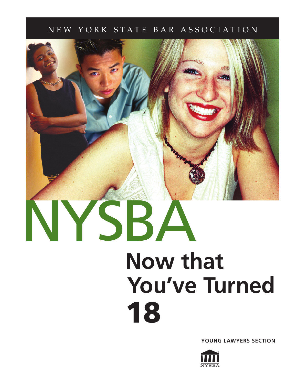# NEW YORK STATE BAR ASSOCIATION



**YOUNG LAWYERS SECTION**

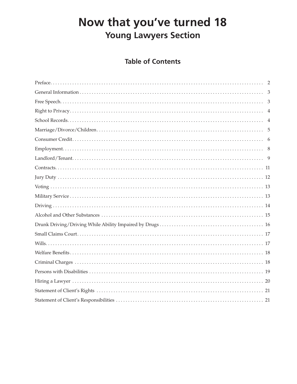# Now that you've turned 18 **Young Lawyers Section**

# **Table of Contents**

| 5 |
|---|
|   |
|   |
|   |
|   |
|   |
|   |
|   |
|   |
|   |
|   |
|   |
|   |
|   |
|   |
|   |
|   |
|   |
|   |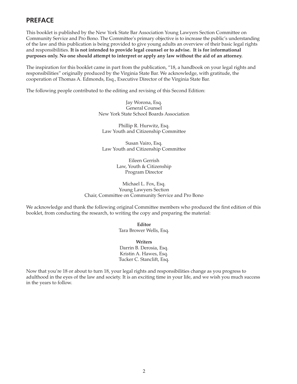# **PREFACE**

This booklet is published by the New York State Bar Association Young Lawyers Section Committee on Community Service and Pro Bono. The Committee's primary objective is to increase the public's understanding of the law and this publication is being provided to give young adults an overview of their basic legal rights and responsibilities. **It is not intended to provide legal counsel or to advise. It is for informational purposes only. No one should attempt to interpret or apply any law without the aid of an attorney.** 

The inspiration for this booklet came in part from the publication, "18, a handbook on your legal rights and responsibilities" originally produced by the Virginia State Bar. We acknowledge, with gratitude, the cooperation of Thomas A. Edmonds, Esq., Executive Director of the Virginia State Bar.

The following people contributed to the editing and revising of this Second Edition:

Jay Worona, Esq. General Counsel New York State School Boards Association

Phillip R. Hurwitz, Esq. Law Youth and Citizenship Committee

Susan Vairo, Esq. Law Youth and Citizenship Committee

> Eileen Gerrish Law, Youth & Citizenship Program Director

Michael L. Fox, Esq. Young Lawyers Section Chair, Committee on Community Service and Pro Bono

We acknowledge and thank the following original Committee members who produced the first edition of this booklet, from conducting the research, to writing the copy and preparing the material:

> **Editor** Tara Brower Wells, Esq.

**Writers** Darrin B. Derosia, Esq. Kristin A. Hawes, Esq. Tucker C. Stanclift, Esq.

Now that you're 18 or about to turn 18, your legal rights and responsibilities change as you progress to adulthood in the eyes of the law and society. It is an exciting time in your life, and we wish you much success in the years to follow.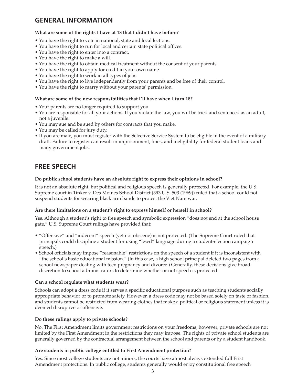# **GENERAL INFORMATION**

### **What are some of the rights I have at 18 that I didn't have before?**

- You have the right to vote in national, state and local lections.
- You have the right to run for local and certain state political offices.
- You have the right to enter into a contract.
- You have the right to make a will.
- You have the right to obtain medical treatment without the consent of your parents.
- You have the right to apply for credit in your own name.
- You have the right to work in all types of jobs.
- You have the right to live independently from your parents and be free of their control.
- You have the right to marry without your parents' permission.

### **What are some of the new responsibilities that I'll have when I turn 18?**

- Your parents are no longer required to support you.
- You are responsible for all your actions. If you violate the law, you will be tried and sentenced as an adult, not a juvenile.
- You may sue and be sued by others for contracts that you make.
- You may be called for jury duty.
- If you are male, you must register with the Selective Service System to be eligible in the event of a military draft. Failure to register can result in imprisonment, fines, and ineligibility for federal student loans and many government jobs.

# **FREE SPEECH**

### **Do public school students have an absolute right to express their opinions in school?**

It is not an absolute right, but political and religious speech is generally protected. For example, the U.S. Supreme court in Tinker v. Des Moines School District (393 U.S. 503 (1969)) ruled that a school could not suspend students for wearing black arm bands to protest the Viet Nam war.

### **Are there limitations on a student's right to express himself or herself in school?**

Yes. Although a student's right to free speech and symbolic expression "does not end at the school house gate," U.S. Supreme Court rulings have provided that:

- "Offensive" and "indecent" speech (yet not obscene) is not protected. (The Supreme Court ruled that principals could discipline a student for using "lewd" language during a student-election campaign speech.)
- School officials may impose "reasonable" restrictions on the speech of a student if it is inconsistent with "the school's basic educational mission." (In this case, a high school principal deleted two pages from a school newspaper dealing with teen pregnancy and divorce.) Generally, these decisions give broad discretion to school administrators to determine whether or not speech is protected.

### **Can a school regulate what students wear?**

Schools can adopt a dress code if it serves a specific educational purpose such as teaching students socially appropriate behavior or to promote safety. However, a dress code may not be based solely on taste or fashion, and students cannot be restricted from wearing clothes that make a political or religious statement unless it is deemed disruptive or offensive.

### **Do these rulings apply to private schools?**

No. The First Amendment limits government restrictions on your freedoms; however, private schools are not limited by the First Amendment in the restrictions they may impose. The rights of private school students are generally governed by the contractual arrangement between the school and parents or by a student handbook.

# **Are students in public college entitled to First Amendment protection?**

Yes. Since most college students are not minors, the courts have almost always extended full First Amendment protections. In public college, students generally would enjoy constitutional free speech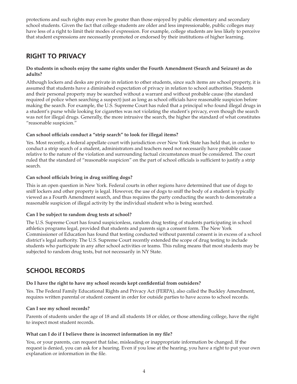protections and such rights may even be greater than those enjoyed by public elementary and secondary school students. Given the fact that college students are older and less impressionable, public colleges may have less of a right to limit their modes of expression. For example, college students are less likely to perceive that student expressions are necessarily promoted or endorsed by their institutions of higher learning.

# **RIGHT TO PRIVACY**

### **Do students in schools enjoy the same rights under the Fourth Amendment (Search and Seizure) as do adults?**

Although lockers and desks are private in relation to other students, since such items are school property, it is assumed that students have a diminished expectation of privacy in relation to school authorities. Students and their personal property may be searched without a warrant and without probable cause (the standard required of police when searching a suspect) just as long as school officials have reasonable suspicion before making the search. For example, the U.S. Supreme Court has ruled that a principal who found illegal drugs in a student's purse while looking for cigarettes was not violating the student's privacy, even though the search was not for illegal drugs. Generally, the more intrusive the search, the higher the standard of what constitutes "reasonable suspicion."

# Can school officials conduct a "strip search" to look for illegal items?

Yes. Most recently, a federal appellate court with jurisdiction over New York State has held that, in order to conduct a strip search of a student, administrators and teachers need not necessarily have probable cause relative to the nature of the violation and surrounding factual circumstances must be considered. The court ruled that the standard of "reasonable suspicion" on the part of school officials is sufficient to justify a strip search.

# **Can school officials bring in drug sniffing dogs?**

This is an open question in New York. Federal courts in other regions have determined that use of dogs to sniff lockers and other property is legal. However, the use of dogs to sniff the body of a student is typically viewed as a Fourth Amendment search, and thus requires the party conducting the search to demonstrate a reasonable suspicion of illegal activity by the individual student who is being searched.

# **Can I be subject to random drug tests at school?**

The U.S. Supreme Court has found suspicionless, random drug testing of students participating in school athletics programs legal, provided that students and parents sign a consent form. The New York Commissioner of Education has found that testing conducted without parental consent is in excess of a school district's legal authority. The U.S. Supreme Court recently extended the scope of drug testing to include students who participate in any after school activities or teams. This ruling means that most students may be subjected to random drug tests, but not necessarily in NY State.

# **SCHOOL RECORDS**

# Do I have the right to have my school records kept confidential from outsiders?

Yes. The Federal Family Educational Rights and Privacy Act (FERPA), also called the Buckley Amendment, requires written parental or student consent in order for outside parties to have access to school records.

# **Can I see my school records?**

Parents of students under the age of 18 and all students 18 or older, or those attending college, have the right to inspect most student records.

# What can I do if I believe there is incorrect information in my file?

You, or your parents, can request that false, misleading or inappropriate information be changed. If the request is denied, you can ask for a hearing. Even if you lose at the hearing, you have a right to put your own explanation or information in the file.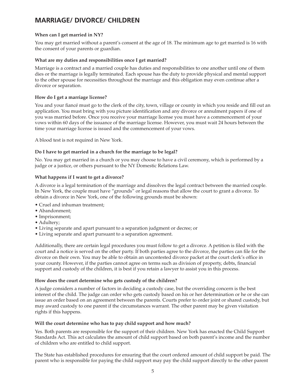# **MARRIAGE/ DIVORCE/ CHILDREN**

# **When can I get married in NY?**

You may get married without a parent's consent at the age of 18. The minimum age to get married is 16 with the consent of your parents or guardian.

### **What are my duties and responsibilities once I get married?**

Marriage is a contract and a married couple has duties and responsibilities to one another until one of them dies or the marriage is legally terminated. Each spouse has the duty to provide physical and mental support to the other spouse for necessities throughout the marriage and this obligation may even continue after a divorce or separation.

### **How do I get a marriage license?**

You and your fiancé must go to the clerk of the city, town, village or county in which you reside and fill out an application. You must bring with you picture identification and any divorce or annulment papers if one of you was married before. Once you receive your marriage license you must have a commencement of your vows within 60 days of the issuance of the marriage license. However, you must wait 24 hours between the time your marriage license is issued and the commencement of your vows.

A blood test is not required in New York.

### **Do I have to get married in a church for the marriage to be legal?**

No. You may get married in a church or you may choose to have a civil ceremony, which is performed by a judge or a justice, or others pursuant to the NY Domestic Relations Law.

### **What happens if I want to get a divorce?**

A divorce is a legal termination of the marriage and dissolves the legal contract between the married couple. In New York, the couple must have "grounds" or legal reasons that allow the court to grant a divorce. To obtain a divorce in New York, one of the following grounds must be shown:

- Cruel and inhuman treatment;
- Abandonment;
- Imprisonment;
- Adultery;
- Living separate and apart pursuant to a separation judgment or decree; or
- Living separate and apart pursuant to a separation agreement.

Additionally, there are certain legal procedures you must follow to get a divorce. A petition is filed with the court and a notice is served on the other party. If both parties agree to the divorce, the parties can file for the divorce on their own. You may be able to obtain an uncontested divorce packet at the court clerk's office in your county. However, if the parties cannot agree on terms such as division of property, debts, financial support and custody of the children, it is best if you retain a lawyer to assist you in this process.

### **How does the court determine who gets custody of the children?**

A judge considers a number of factors in deciding a custody case, but the overriding concern is the best interest of the child. The judge can order who gets custody based on his or her determination or he or she can issue an order based on an agreement between the parents. Courts prefer to order joint or shared custody, but may award custody to one parent if the circumstances warrant. The other parent may be given visitation rights if this happens.

### **Will the court determine who has to pay child support and how much?**

Yes. Both parents are responsible for the support of their children. New York has enacted the Child Support Standards Act. This act calculates the amount of child support based on both parent's income and the number of children who are entitled to child support.

The State has established procedures for ensuring that the court ordered amount of child support be paid. The parent who is responsible for paying the child support may pay the child support directly to the other parent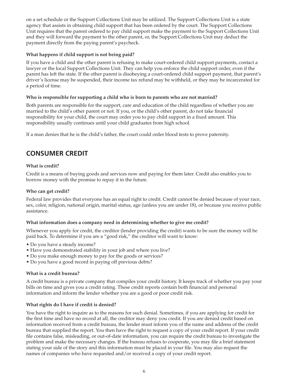on a set schedule or the Support Collections Unit may be utilized. The Support Collections Unit is a state agency that assists in obtaining child support that has been ordered by the court. The Support Collections Unit requires that the parent ordered to pay child support make the payment to the Support Collections Unit and they will forward the payment to the other parent, or, the Support Collections Unit may deduct the payment directly from the paying parent's paycheck.

# **What happens if child support is not being paid?**

If you have a child and the other parent is refusing to make court-ordered child support payments, contact a lawyer or the local Support Collections Unit. They can help you enforce the child support order, even if the parent has left the state. If the other parent is disobeying a court-ordered child support payment, that parent's driver's license may be suspended, their income tax refund may be withheld, or they may be incarcerated for a period of time.

# **Who is responsible for supporting a child who is born to parents who are not married?**

Both parents are responsible for the support, care and education of the child regardless of whether you are married to the child's other parent or not. If you, or the child's other parent, do not take financial responsibility for your child, the court may order you to pay child support in a fixed amount. This responsibility usually continues until your child graduates from high school.

If a man denies that he is the child's father, the court could order blood tests to prove paternity.

# **CONSUMER CREDIT**

# **What is credit?**

Credit is a means of buying goods and services now and paying for them later. Credit also enables you to borrow money with the promise to repay it in the future.

### **Who can get credit?**

Federal law provides that everyone has an equal right to credit. Credit cannot be denied because of your race, sex, color, religion, national origin, marital status, age (unless you are under 18), or because you receive public assistance.

# **What information does a company need in determining whether to give me credit?**

Whenever you apply for credit, the creditor (lender providing the credit) wants to be sure the money will be paid back. To determine if you are a "good risk," the creditor will want to know:

- Do you have a steady income?
- Have you demonstrated stability in your job and where you live?
- Do you make enough money to pay for the goods or services?
- Do you have a good record in paying off previous debts?

# **What is a credit bureau?**

A credit bureau is a private company that compiles your credit history. It keeps track of whether you pay your bills on time and gives you a credit rating. These credit reports contain both financial and personal information and inform the lender whether you are a good or poor credit risk.

# **What rights do I have if credit is denied?**

You have the right to inquire as to the reasons for such denial. Sometimes, if you are applying for credit for the first time and have no record at all, the creditor may deny you credit. If you are denied credit based on information received from a credit bureau, the lender must inform you of the name and address of the credit bureau that supplied the report. You then have the right to request a copy of your credit report. If your credit file contains false, misleading, or out-of-date information, you can require the credit bureau to investigate the problem and make the necessary changes. If the bureau refuses to cooperate, you may file a brief statement stating your side of the story and this information must be placed in your file. You may also request the names of companies who have requested and/or received a copy of your credit report.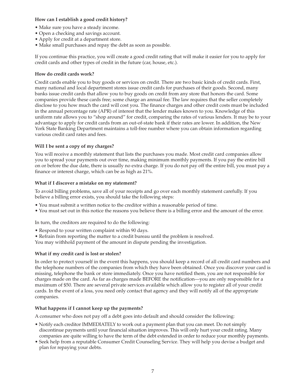### **How can I establish a good credit history?**

- Make sure you have a steady income.
- Open a checking and savings account.
- Apply for credit at a department store.
- Make small purchases and repay the debt as soon as possible.

If you continue this practice, you will create a good credit rating that will make it easier for you to apply for credit cards and other types of credit in the future (car, house, etc.).

### **How do credit cards work?**

Credit cards enable you to buy goods or services on credit. There are two basic kinds of credit cards. First, many national and local department stores issue credit cards for purchases of their goods. Second, many banks issue credit cards that allow you to buy goods on credit from any store that honors the card. Some companies provide these cards free; some charge an annual fee. The law requires that the seller completely disclose to you how much the card will cost you. The finance charges and other credit costs must be included in the annual percentage rate (APR) of interest that the lender makes known to you. Knowledge of this uniform rate allows you to "shop around" for credit, comparing the rates of various lenders. It may be to your advantage to apply for credit cards from an out-of-state bank if their rates are lower. In addition, the New York State Banking Department maintains a toll-free number where you can obtain information regarding various credit card rates and fees.

### **Will I be sent a copy of my charges?**

You will receive a monthly statement that lists the purchases you made. Most credit card companies allow you to spread your payments out over time, making minimum monthly payments. If you pay the entire bill on or before the due date, there is usually no extra charge. If you do not pay off the entire bill, you must pay a finance or interest charge, which can be as high as 21%.

### **What if I discover a mistake on my statement?**

To avoid billing problems, save all of your receipts and go over each monthly statement carefully. If you believe a billing error exists, you should take the following steps:

- You must submit a written notice to the creditor within a reasonable period of time.
- You must set out in this notice the reasons you believe there is a billing error and the amount of the error.

In turn, the creditors are required to do the following:

- Respond to your written complaint within 90 days.
- Refrain from reporting the matter to a credit bureau until the problem is resolved.

You may withhold payment of the amount in dispute pending the investigation.

# **What if my credit card is lost or stolen?**

In order to protect yourself in the event this happens, you should keep a record of all credit card numbers and the telephone numbers of the companies from which they have been obtained. Once you discover your card is missing, telephone the bank or store immediately. Once you have notified them, you are not responsible for charges made on the card. As far as charges made BEFORE the notification—you are only responsible for a maximum of \$50. There are several private services available which allow you to register all of your credit cards. In the event of a loss, you need only contact that agency and they will notify all of the appropriate companies.

# **What happens if I cannot keep up the payments?**

A consumer who does not pay off a debt goes into default and should consider the following:

- Notify each creditor IMMEDIATELY to work out a payment plan that you can meet. Do not simply discontinue payments until your financial situation improves. This will only hurt your credit rating. Many companies are quite willing to have the term of the debt extended in order to reduce your monthly payments.
- Seek help from a reputable Consumer Credit Counseling Service. They will help you devise a budget and plan for repaying your debts.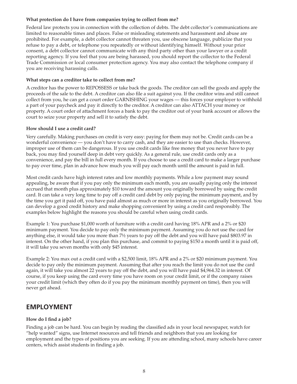### **What protection do I have from companies trying to collect from me?**

Federal law protects you in connection with the collection of debts. The debt collector's communications are limited to reasonable times and places. False or misleading statements and harassment and abuse are prohibited. For example, a debt collector cannot threaten you, use obscene language, publicize that you refuse to pay a debt, or telephone you repeatedly or without identifying himself. Without your prior consent, a debt collector cannot communicate with any third party other than your lawyer or a credit reporting agency. If you feel that you are being harassed, you should report the collector to the Federal Trade Commission or local consumer protection agency. You may also contact the telephone company if you are receiving harassing calls.

### **What steps can a creditor take to collect from me?**

A creditor has the power to REPOSSESS or take back the goods. The creditor can sell the goods and apply the proceeds of the sale to the debt. A creditor can also file a suit against you. If the creditor wins and still cannot collect from you, he can get a court order GARNISHING your wages — this forces your employer to withhold a part of your paycheck and pay it directly to the creditor. A creditor can also ATTACH your money or property. A court order of attachment forces a bank to pay the creditor out of your bank account or allows the court to seize your property and sell it to satisfy the debt.

### **How should I use a credit card?**

Very carefully. Making purchases on credit is very easy: paying for them may not be. Credit cards can be a wonderful convenience — you don't have to carry cash, and they are easier to use than checks. However, improper use of them can be dangerous. If you use credit cards like free money that you never have to pay back, you may find yourself deep in debt very quickly. As a general rule, use credit cards only as a convenience, and pay the bill in full every month. If you choose to use a credit card to make a larger purchase to pay over time, plan in advance how much you will pay each month until the amount is paid in full.

Most credit cards have high interest rates and low monthly payments. While a low payment may sound appealing, be aware that if you pay only the minimum each month, you are usually paying only the interest accrued that month plus approximately \$10 toward the amount you originally borrowed by using the credit card. It can take a very long time to pay off a credit card debt by only paying the minimum payment, and by the time you get it paid off, you have paid almost as much or more in interest as you originally borrowed. You can develop a good credit history and make shopping convenient by using a credit card responsibly. The examples below highlight the reasons you should be careful when using credit cards.

Example 1: You purchase \$1,000 worth of furniture with a credit card having 18% APR and a 2% or \$20 minimum payment. You decide to pay only the minimum payment. Assuming you do not use the card for anything else, it would take you more than 7½ years to pay off the debt and you will have paid \$803.97 in interest. On the other hand, if you plan this purchase, and commit to paying \$150 a month until it is paid off, it will take you seven months with only \$45 interest.

Example 2: You max out a credit card with a \$2,500 limit, 18% APR and a 2% or \$20 minimum payment. You decide to pay only the minimum payment. Assuming that after you reach the limit you do not use the card again, it will take you almost 22 years to pay off the debt, and you will have paid \$4,964.32 in interest. Of course, if you keep using the card every time you have room on your credit limit, or if the company raises your credit limit (which they often do if you pay the minimum monthly payment on time), then you will never get ahead.

# **EMPLOYMENT**

# **How do I find a job?**

Finding a job can be hard. You can begin by reading the classified ads in your local newspaper, watch for "help wanted" signs, use Internet resources and tell friends and neighbors that you are looking for employment and the types of positions you are seeking. If you are attending school, many schools have career centers, which assist students in finding a job.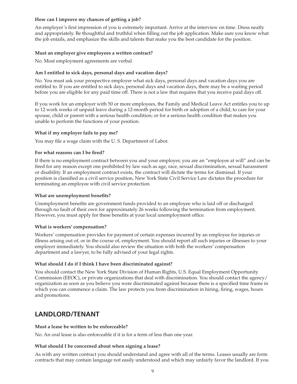### **How can I improve my chances of getting a job?**

An employer's first impression of you is extremely important. Arrive at the interview on time. Dress neatly and appropriately. Be thoughtful and truthful when filling out the job application. Make sure you know what the job entails, and emphasize the skills and talents that make you the best candidate for the position.

### **Must an employer give employees a written contract?**

No. Most employment agreements are verbal.

### **Am I entitled to sick days, personal days and vacation days?**

No. You must ask your prospective employer what sick days, personal days and vacation days you are entitled to. If you are entitled to sick days, personal days and vacation days, there may be a waiting period before you are eligible for any paid time off. There is not a law that requires that you receive paid days off.

If you work for an employer with 50 or more employees, the Family and Medical Leave Act entitles you to up to 12 work weeks of unpaid leave during a 12-month period for birth or adoption of a child; to care for your spouse, child or parent with a serious health condition; or for a serious health condition that makes you unable to perform the functions of your position.

### **What if my employer fails to pay me?**

You may file a wage claim with the U.S. Department of Labor.

### For what reasons can I be fired?

If there is no employment contract between you and your employer, you are an "employee at will" and can be fired for any reason except one prohibited by law such as age, race, sexual discrimination, sexual harassment or disability. If an employment contract exists, the contract will dictate the terms for dismissal. If your position is classified as a civil service position, New York State Civil Service Law dictates the procedure for terminating an employee with civil service protection.

### **What are unemployment benefits?**

Unemployment benefits are government funds provided to an employee who is laid off or discharged through no fault of their own for approximately 26 weeks following the termination from employment. However, you must apply for these benefits at your local unemployment office.

### **What is workers' compensation?**

Workers' compensation provides for payment of certain expenses incurred by an employee for injuries or illness arising out of, or in the course of, employment. You should report all such injuries or illnesses to your employer immediately. You should also review the situation with both the workers' compensation department and a lawyer, to be fully advised of your legal rights.

### **What should I do if I think I have been discriminated against?**

You should contact the New York State Division of Human Rights, U.S. Equal Employment Opportunity Commission (EEOC), or private organizations that deal with discrimination. You should contact the agency/ organization as soon as you believe you were discriminated against because there is a specified time frame in which you can commence a claim. The law protects you from discrimination in hiring, firing, wages, hours and promotions.

# **LANDLORD/TENANT**

### **Must a lease be written to be enforceable?**

No. An oral lease is also enforceable if it is for a term of less than one year.

# **What should I be concerned about when signing a lease?**

As with any written contract you should understand and agree with all of the terms. Leases usually are form contracts that may contain language not easily understood and which may unfairly favor the landlord. If you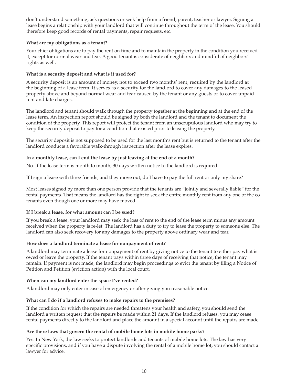don't understand something, ask questions or seek help from a friend, parent, teacher or lawyer. Signing a lease begins a relationship with your landlord that will continue throughout the term of the lease. You should therefore keep good records of rental payments, repair requests, etc.

# **What are my obligations as a tenant?**

Your chief obligations are to pay the rent on time and to maintain the property in the condition you received it, except for normal wear and tear. A good tenant is considerate of neighbors and mindful of neighbors' rights as well.

### **What is a security deposit and what is it used for?**

A security deposit is an amount of money, not to exceed two months' rent, required by the landlord at the beginning of a lease term. It serves as a security for the landlord to cover any damages to the leased property above and beyond normal wear and tear caused by the tenant or any guests or to cover unpaid rent and late charges.

The landlord and tenant should walk through the property together at the beginning and at the end of the lease term. An inspection report should be signed by both the landlord and the tenant to document the condition of the property. This report will protect the tenant from an unscrupulous landlord who may try to keep the security deposit to pay for a condition that existed prior to leasing the property.

The security deposit is not supposed to be used for the last month's rent but is returned to the tenant after the landlord conducts a favorable walk-through inspection after the lease expires.

### **In a monthly lease, can I end the lease by just leaving at the end of a month?**

No. If the lease term is month to month, 30 days written notice to the landlord is required.

If I sign a lease with three friends, and they move out, do I have to pay the full rent or only my share?

Most leases signed by more than one person provide that the tenants are "jointly and severally liable" for the rental payments. That means the landlord has the right to seek the entire monthly rent from any one of the cotenants even though one or more may have moved.

### **If I break a lease, for what amount can I be sued?**

If you break a lease, your landlord may seek the loss of rent to the end of the lease term minus any amount received when the property is re-let. The landlord has a duty to try to lease the property to someone else. The landlord can also seek recovery for any damages to the property above ordinary wear and tear.

# **How does a landlord terminate a lease for nonpayment of rent?**

A landlord may terminate a lease for nonpayment of rent by giving notice to the tenant to either pay what is owed or leave the property. If the tenant pays within three days of receiving that notice, the tenant may remain. If payment is not made, the landlord may begin proceedings to evict the tenant by filing a Notice of Petition and Petition (eviction action) with the local court.

### **When can my landlord enter the space I've rented?**

A landlord may only enter in case of emergency or after giving you reasonable notice.

# **What can I do if a landlord refuses to make repairs to the premises?**

If the condition for which the repairs are needed threatens your health and safety, you should send the landlord a written request that the repairs be made within 21 days. If the landlord refuses, you may cease rental payments directly to the landlord and place the amount in a special account until the repairs are made.

### **Are there laws that govern the rental of mobile home lots in mobile home parks?**

Yes. In New York, the law seeks to protect landlords and tenants of mobile home lots. The law has very specific provisions, and if you have a dispute involving the rental of a mobile home lot, you should contact a lawyer for advice.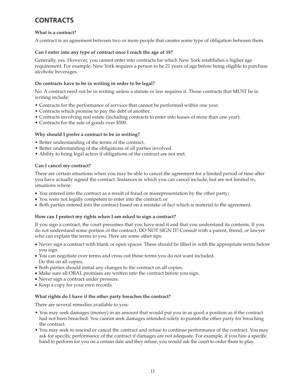# **CONTRACTS**

### **What is a contract?**

A contract is an agreement between two or more people that creates some type of obligation between them.

### **Can I enter into any type of contract once I reach the age of 18?**

Generally, yes. However, you cannot enter into contracts for which New York establishes a higher age requirement. For example, New York requires a person to be 21 years of age before being eligible to purchase alcoholic beverages.

### **Do contracts have to be in writing in order to be legal?**

No. A contract need not be in writing unless a statute or law requires it. Those contracts that MUST be in writing include:

- Contracts for the performance of services that cannot be performed within one year.
- Contracts which promise to pay the debt of another.
- Contracts involving real estate (including contracts to enter into leases of more than one year).
- Contracts for the sale of goods over \$500.

### **Why should I prefer a contract to be in writing?**

- Better understanding of the terms of the contract.
- Better understanding of the obligations of all parties involved.
- Ability to bring legal action if obligations of the contract are not met.

### **Can I cancel my contract?**

There are certain situations when you may be able to cancel the agreement for a limited period of time after you have actually signed the contract. Instances in which you can cancel include, but are not limited to, situations where:

- You entered into the contract as a result of fraud or misrepresentation by the other party;
- You were not legally competent to enter into the contract; or
- Both parties entered into the contract based on a mistake of fact which is material to the agreement.

### **How can I protect my rights when I am asked to sign a contract?**

If you sign a contract, the court presumes that you have read it and that you understand its contents. If you do not understand some portion of the contract, DO NOT SIGN IT! Consult with a parent, friend, or lawyer who can explain the terms to you. Here are some other tips:

- Never sign a contract with blank or open spaces. These should be filled in with the appropriate terms before you sign.
- You can negotiate over terms and cross out those terms you do not want included. Do this on all copies.
- Both parties should initial any changes to the contract on all copies.
- Make sure all ORAL promises are written into the contract before you sign.
- Never sign a contract under pressure.
- Keep a copy for your own records.

### **What rights do I have if the other party breaches the contract?**

There are several remedies available to you:

- You may seek damages (money) in an amount that would put you in as good a position as if the contract had not been breached. You cannot seek damages intended solely to punish the other party for breaching the contract.
- You may seek to rescind or cancel the contract and refuse to continue performance of the contract. You may ask for specific performance of the contract if damages are not adequate. For example, if you hire a specific band to perform for you on a certain date and they refuse, you would ask the court to order them to play.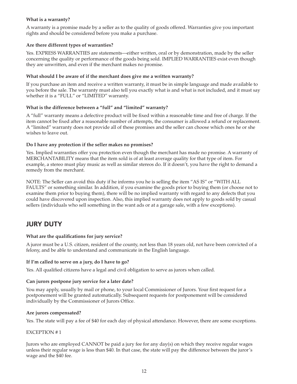### **What is a warranty?**

A warranty is a promise made by a seller as to the quality of goods offered. Warranties give you important rights and should be considered before you make a purchase.

### **Are there different types of warranties?**

Yes. EXPRESS WARRANTIES are statements—either written, oral or by demonstration, made by the seller concerning the quality or performance of the goods being sold. IMPLIED WARRANTIES exist even though they are unwritten, and even if the merchant makes no promise.

### **What should I be aware of if the merchant does give me a written warranty?**

If you purchase an item and receive a written warranty, it must be in simple language and made available to you before the sale. The warranty must also tell you exactly what is and what is not included, and it must say whether it is a "FULL" or "LIMITED" warranty.

### **What is the difference between a "full" and "limited" warranty?**

A "full" warranty means a defective product will be fixed within a reasonable time and free of charge. If the item cannot be fixed after a reasonable number of attempts, the consumer is allowed a refund or replacement. A "limited" warranty does not provide all of these promises and the seller can choose which ones he or she wishes to leave out.

### **Do I have any protection if the seller makes no promises?**

Yes. Implied warranties offer you protection even though the merchant has made no promise. A warranty of MERCHANTABILITY means that the item sold is of at least average quality for that type of item. For example, a stereo must play music as well as similar stereos do. If it doesn't, you have the right to demand a remedy from the merchant.

NOTE: The Seller can avoid this duty if he informs you he is selling the item "AS IS" or "WITH ALL FAULTS" or something similar. In addition, if you examine the goods prior to buying them (or choose not to examine them prior to buying them), there will be no implied warranty with regard to any defects that you could have discovered upon inspection. Also, this implied warranty does not apply to goods sold by casual sellers (individuals who sell something in the want ads or at a garage sale, with a few exceptions).

# **JURY DUTY**

# **What are the qualifications for jury service?**

A juror must be a U.S. citizen, resident of the county, not less than 18 years old, not have been convicted of a felony, and be able to understand and communicate in the English language.

# **If I'm called to serve on a jury, do I have to go?**

Yes. All qualified citizens have a legal and civil obligation to serve as jurors when called.

# **Can jurors postpone jury service for a later date?**

You may apply, usually by mail or phone, to your local Commissioner of Jurors. Your first request for a postponement will be granted automatically. Subsequent requests for postponement will be considered individually by the Commissioner of Jurors Office.

### **Are jurors compensated?**

Yes. The state will pay a fee of \$40 for each day of physical attendance. However, there are some exceptions.

### EXCEPTION # 1

Jurors who are employed CANNOT be paid a jury fee for any day(s) on which they receive regular wages unless their regular wage is less than \$40. In that case, the state will pay the difference between the juror's wage and the \$40 fee.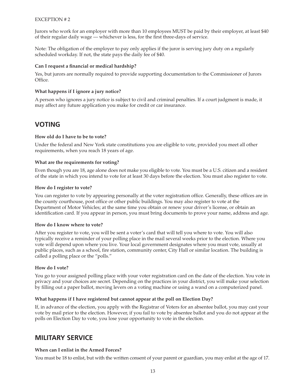### EXCEPTION # 2

Jurors who work for an employer with more than 10 employees MUST be paid by their employer, at least \$40 of their regular daily wage — whichever is less, for the first three-days of service.

Note: The obligation of the employer to pay only applies if the juror is serving jury duty on a regularly scheduled workday. If not, the state pays the daily fee of \$40.

### Can I request a financial or medical hardship?

Yes, but jurors are normally required to provide supporting documentation to the Commissioner of Jurors Office.

### **What happens if I ignore a jury notice?**

A person who ignores a jury notice is subject to civil and criminal penalties. If a court judgment is made, it may affect any future application you make for credit or car insurance.

# **VOTING**

### **How old do I have to be to vote?**

Under the federal and New York state constitutions you are eligible to vote, provided you meet all other requirements, when you reach 18 years of age.

### **What are the requirements for voting?**

Even though you are 18, age alone does not make you eligible to vote. You must be a U.S. citizen and a resident of the state in which you intend to vote for at least 30 days before the election. You must also register to vote.

### **How do I register to vote?**

You can register to vote by appearing personally at the voter registration office. Generally, these offices are in the county courthouse, post office or other public buildings. You may also register to vote at the Department of Motor Vehicles; at the same time you obtain or renew your driver's license, or obtain an identification card. If you appear in person, you must bring documents to prove your name, address and age.

### **How do I know where to vote?**

After you register to vote, you will be sent a voter's card that will tell you where to vote. You will also typically receive a reminder of your polling place in the mail several weeks prior to the election. Where you vote will depend upon where you live. Your local government designates where you must vote, usually at public places, such as a school, fire station, community center, City Hall or similar location. The building is called a polling place or the "polls."

### **How do I vote?**

You go to your assigned polling place with your voter registration card on the date of the election. You vote in privacy and your choices are secret. Depending on the practices in your district, you will make your selection by filling out a paper ballot, moving levers on a voting machine or using a wand on a computerized panel.

### **What happens if I have registered but cannot appear at the poll on Election Day?**

If, in advance of the election, you apply with the Registrar of Voters for an absentee ballot, you may cast your vote by mail prior to the election. However, if you fail to vote by absentee ballot and you do not appear at the polls on Election Day to vote, you lose your opportunity to vote in the election.

# **MILITARY SERVICE**

### **When can I enlist in the Armed Forces?**

You must be 18 to enlist, but with the written consent of your parent or guardian, you may enlist at the age of 17.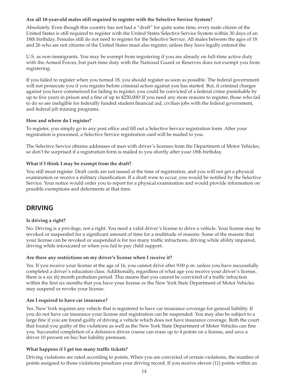### **Are all 18-year-old males still required to register with the Selective Service System?**

Absolutely. Even though this country has not had a "draft" for quite some time, every male citizen of the United States is still required to register with the United States Selective Service System within 30 days of an 18th birthday. Females still do not need to register for the Selective Service. All males between the ages of 18 and 26 who are not citizens of the United States must also register, unless they have legally entered the

U.S. as non-immigrants. You may be exempt from registering if you are already on full-time active duty with the Armed Forces, but part-time duty with the National Guard or Reserves does not exempt you from registering.

If you failed to register when you turned 18, you should register as soon as possible. The federal government will not prosecute you if you register before criminal action against you has started. But, if criminal charges against you have commenced for failing to register, you could be convicted of a federal crime punishable by up to five years in prison and a fine of up to \$250,000! If you need any more reasons to register, those who fail to do so are ineligible for federally funded student financial aid, civilian jobs with the federal government, and federal job training programs.

### **How and where do I register?**

To register, you simply go to any post office and fill out a Selective Service registration form. After your registration is processed, a Selective Service registration card will be mailed to you.

The Selective Service obtains addresses of men with driver's licenses from the Department of Motor Vehicles; so don't be surprised if a registration form is mailed to you shortly after your 18th birthday.

### **What if I think I may be exempt from the draft?**

You still must register. Draft cards are not issued at the time of registration, and you will not get a physical examination or receive a military classification. If a draft were to occur, you would be notified by the Selective Service. Your notice would order you to report for a physical examination and would provide information on possible exemptions and deferments at that time.

# **DRIVING**

# **Is driving a right?**

No. Driving is a privilege, not a right. You need a valid driver's license to drive a vehicle. Your license may be revoked or suspended for a significant amount of time for a multitude of reasons. Some of the reasons that your license can be revoked or suspended is for too many traffic infractions, driving while ability impaired, driving while intoxicated or when you fail to pay child support.

# **Are there any restrictions on my driver's license when I receive it?**

Yes. If you receive your license at the age of 16, you cannot drive after 9:00 p.m. unless you have successfully completed a driver's education class. Additionally, regardless of what age you receive your driver's license, there is a six (6) month probation period. This means that you cannot be convicted of a traffic infraction within the first six months that you have your license or the New York State Department of Motor Vehicles may suspend or revoke your license.

### **Am I required to have car insurance?**

Yes. New York requires any vehicle that is registered to have car insurance coverage for general liability. If you do not have car insurance your license and registration can be suspended. You may also be subject to a large fine if you are found guilty of driving a vehicle which does not have insurance coverage. Both the court that found you guilty of the violations as well as the New York State Department of Motor Vehicles can fine you. Successful completion of a defensive driver course can erase up to 4 points on a license, and save a driver 10 percent on his/her liability premium.

# **What happens if I get too many traffic tickets?**

Driving violations are rated according to points. When you are convicted of certain violations, the number of points assigned to those violations penalizes your driving record. If you receive eleven (11) points within an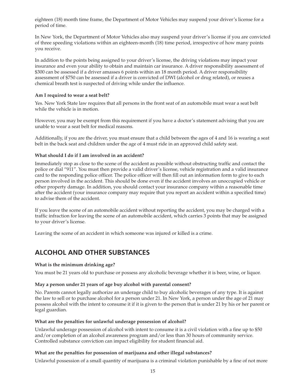eighteen (18) month time frame, the Department of Motor Vehicles may suspend your driver's license for a period of time.

In New York, the Department of Motor Vehicles also may suspend your driver's license if you are convicted of three speeding violations within an eighteen-month (18) time period, irrespective of how many points you receive.

In addition to the points being assigned to your driver's license, the driving violations may impact your insurance and even your ability to obtain and maintain car insurance. A driver responsibility assessment of \$300 can be assessed if a driver amasses 6 points within an 18 month period. A driver responsibility assessment of \$750 can be assessed if a driver is convicted of DWI (alcohol or drug related), or reuses a chemical breath test is suspected of driving while under the influence.

### **Am I required to wear a seat belt?**

Yes. New York State law requires that all persons in the front seat of an automobile must wear a seat belt while the vehicle is in motion.

However, you may be exempt from this requirement if you have a doctor's statement advising that you are unable to wear a seat belt for medical reasons.

Additionally, if you are the driver, you must ensure that a child between the ages of 4 and 16 is wearing a seat belt in the back seat and children under the age of 4 must ride in an approved child safety seat.

### **What should I do if I am involved in an accident?**

Immediately stop as close to the scene of the accident as possible without obstructing traffic and contact the police or dial "911". You must then provide a valid driver's license, vehicle registration and a valid insurance card to the responding police officer. The police officer will then fill out an information form to give to each person involved in the accident. This should be done even if the accident involves an unoccupied vehicle or other property damage. In addition, you should contact your insurance company within a reasonable time after the accident (your insurance company may require that you report an accident within a specified time) to advise them of the accident.

If you leave the scene of an automobile accident without reporting the accident, you may be charged with a traffic infraction for leaving the scene of an automobile accident, which carries 3 points that may be assigned to your driver's license.

Leaving the scene of an accident in which someone was injured or killed is a crime.

# **ALCOHOL AND OTHER SUBSTANCES**

### **What is the minimum drinking age?**

You must be 21 years old to purchase or possess any alcoholic beverage whether it is beer, wine, or liquor.

### **May a person under 21 years of age buy alcohol with parental consent?**

No. Parents cannot legally authorize an underage child to buy alcoholic beverages of any type. It is against the law to sell or to purchase alcohol for a person under 21. In New York, a person under the age of 21 may possess alcohol with the intent to consume it if it is given to the person that is under 21 by his or her parent or legal guardian.

### **What are the penalties for unlawful underage possession of alcohol?**

Unlawful underage possession of alcohol with intent to consume it is a civil violation with a fine up to \$50 and/or completion of an alcohol awareness program and/or less than 30 hours of community service. Controlled substance conviction can impact eligibility for student financial aid.

### **What are the penalties for possession of marijuana and other illegal substances?**

Unlawful possession of a small quantity of marijuana is a criminal violation punishable by a fine of not more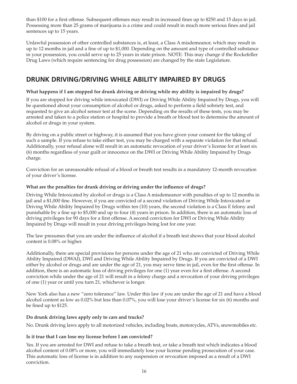than \$100 for a first offense. Subsequent offenses may result in increased fines up to \$250 and 15 days in jail. Possessing more than 25 grams of marijuana is a crime and could result in much more serious fines and jail sentences up to 15 years.

Unlawful possession of other controlled substances is, at least, a Class A misdemeanor, which may result in up to 12 months in jail and a fine of up to \$1,000. Depending on the amount and type of controlled substance in your possession, you could serve up to 25 years in state prison. NOTE: This may change if the Rockefeller Drug Laws (which require sentencing for drug possession) are changed by the state Legislature.

# **DRUNK DRIVING/DRIVING WHILE ABILITY IMPAIRED BY DRUGS**

# **What happens if I am stopped for drunk driving or driving while my ability is impaired by drugs?**

If you are stopped for driving while intoxicated (DWI) or Driving While Ability Impaired by Drugs, you will be questioned about your consumption of alcohol or drugs, asked to perform a field sobriety test, and requested to give an alcohol sensor test at the scene. Depending on the results of these tests, you may be arrested and taken to a police station or hospital to provide a breath or blood test to determine the amount of alcohol or drugs in your system.

By driving on a public street or highway, it is assumed that you have given your consent for the taking of such a sample. If you refuse to take either test, you may be charged with a separate violation for that refusal. Additionally, your refusal alone will result in an automatic revocation of your driver's license for at least six (6) months regardless of your guilt or innocence on the DWI or Driving While Ability Impaired by Drugs charge.

Conviction for an unreasonable refusal of a blood or breath test results in a mandatory 12-month revocation of your driver's license.

# What are the penalties for drunk driving or driving under the influence of drugs?

Driving While Intoxicated by alcohol or drugs is a Class A misdemeanor with penalties of up to 12 months in jail and a \$1,000 fine. However, if you are convicted of a second violation of Driving While Intoxicated or Driving While Ability Impaired by Drugs within ten (10) years, the second violation is a Class E felony and punishable by a fine up to \$5,000 and up to four (4) years in prison. In addition, there is an automatic loss of driving privileges for 90 days for a first offense. A second conviction for DWI or Driving While Ability Impaired by Drugs will result in your driving privileges being lost for one year.

The law presumes that you are under the influence of alcohol if a breath test shows that your blood alcohol content is 0.08% or higher.

Additionally, there are special provisions for persons under the age of 21 who are convicted of Driving While Ability Impaired (DWAI), DWI and Driving While Ability Impaired by Drugs. If you are convicted of a DWI either by alcohol or drugs and are under the age of 21, you may serve time in jail, even for the first offense. In addition, there is an automatic loss of driving privileges for one (1) year even for a first offense. A second conviction while under the age of 21 will result in a felony charge and a revocation of your driving privileges of one (1) year or until you turn 21, whichever is longer.

New York also has a new "zero tolerance" law. Under this law if you are under the age of 21 and have a blood alcohol content as low as 0.02% but less than 0.07%, you will lose your driver's license for six (6) months and be fined up to \$125.

# **Do drunk driving laws apply only to cars and trucks?**

No. Drunk driving laws apply to all motorized vehicles, including boats, motorcycles, ATVs, snowmobiles etc.

# **Is it true that I can lose my license before I am convicted?**

Yes. If you are arrested for DWI and refuse to take a breath test, or take a breath test which indicates a blood alcohol content of 0.08% or more, you will immediately lose your license pending prosecution of your case. This automatic loss of license is in addition to any suspension or revocation imposed as a result of a DWI conviction.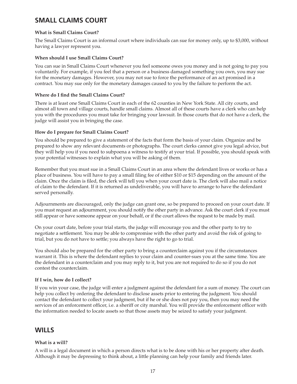# **SMALL CLAIMS COURT**

# **What is Small Claims Court?**

The Small Claims Court is an informal court where individuals can sue for money only, up to \$3,000, without having a lawyer represent you.

### **When should I use Small Claims Court?**

You can sue in Small Claims Court whenever you feel someone owes you money and is not going to pay you voluntarily. For example, if you feel that a person or a business damaged something you own, you may sue for the monetary damages. However, you may not sue to force the performance of an act promised in a contract. You may sue only for the monetary damages caused to you by the failure to perform the act.

# **Where do I find the Small Claims Court?**

There is at least one Small Claims Court in each of the 62 counties in New York State. All city courts, and almost all town and village courts, handle small claims. Almost all of these courts have a clerk who can help you with the procedures you must take for bringing your lawsuit. In those courts that do not have a clerk, the judge will assist you in bringing the case.

# **How do I prepare for Small Claims Court?**

You should be prepared to give a statement of the facts that form the basis of your claim. Organize and be prepared to show any relevant documents or photographs. The court clerks cannot give you legal advice, but they will help you if you need to subpoena a witness to testify at your trial. If possible, you should speak with your potential witnesses to explain what you will be asking of them.

Remember that you must sue in a Small Claims Court in an area where the defendant lives or works or has a place of business. You will have to pay a small filing fee of either \$10 or \$15 depending on the amount of the claim. Once the claim is filed, the clerk will tell you when your court date is. The clerk will also mail a notice of claim to the defendant. If it is returned as undeliverable, you will have to arrange to have the defendant served personally.

Adjournments are discouraged, only the judge can grant one, so be prepared to proceed on your court date. If you must request an adjournment, you should notify the other party in advance. Ask the court clerk if you must still appear or have someone appear on your behalf, or if the court allows the request to be made by mail.

On your court date, before your trial starts, the judge will encourage you and the other party to try to negotiate a settlement. You may be able to compromise with the other party and avoid the risk of going to trial, but you do not have to settle; you always have the right to go to trial.

You should also be prepared for the other party to bring a counterclaim against you if the circumstances warrant it. This is where the defendant replies to your claim and counter-sues you at the same time. You are the defendant in a counterclaim and you may reply to it, but you are not required to do so if you do not contest the counterclaim.

# **If I win, how do I collect?**

If you win your case, the judge will enter a judgment against the defendant for a sum of money. The court can help you collect by ordering the defendant to disclose assets prior to entering the judgment. You should contact the defendant to collect your judgment, but if he or she does not pay you, then you may need the services of an enforcement officer, i.e. a sheriff or city marshal. You will provide the enforcement officer with the information needed to locate assets so that those assets may be seized to satisfy your judgment.

# **WILLS**

# **What is a will?**

A will is a legal document in which a person directs what is to be done with his or her property after death. Although it may be depressing to think about, a little planning can help your family and friends later.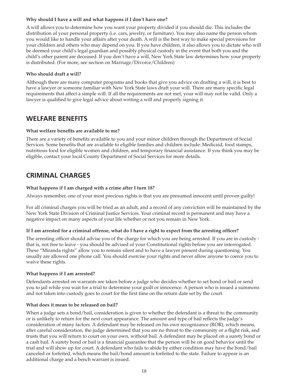### **Why should I have a will and what happens if I don't have one?**

A will allows you to determine how you want your property divided if you should die. This includes the distribution of your personal property (i.e. cars, jewelry, or furniture). You may also name the person whom you would like to handle your affairs after your death. A will is the best way to make special provisions for your children and others who may depend on you. If you have children, it also allows you to dictate who will be deemed your child's legal guardian and possibly physical custody in the event that both you and the child's other parent are deceased. If you don't have a will, New York State law determines how your property is distributed. (For more, see section on Marriage/Divorce/Children)

### **Who should draft a will?**

Although there are many computer programs and books that give you advice on drafting a will, it is best to have a lawyer or someone familiar with New York State laws draft your will. There are many specific legal requirements that affect a simple will. If all the requirements are not met, your will may not be valid. Only a lawyer is qualified to give legal advice about writing a will and properly signing it.

# **WELFARE BENEFITS**

### **What welfare benefits are available to me?**

There are a variety of benefits available to you and your minor children through the Department of Social Services. Some benefits that are available to eligible families and children include: Medicaid, food stamps, nutritious food for eligible women and children, and temporary financial assistance. If you think you may be eligible, contact your local County Department of Social Services for more details.

# **CRIMINAL CHARGES**

### **What happens if I am charged with a crime after I turn 18?**

Always remember, one of your most precious rights is that you are presumed innocent until proven guilty!

For all criminal charges you will be tried as an adult, and a record of any conviction will be maintained by the New York State Division of Criminal Justice Services. Your criminal record is permanent and may have a negative impact on many aspects of your life whether or not you remain in New York.

# If I am arrested for a criminal offense, what do I have a right to expect from the arresting officer?

The arresting officer should advise you of the charge for which you are being arrested. If you are in custody that is, not free to leave - you should be advised of your Constitutional rights before you are interrogated. These "Miranda rights" allow you to remain silent and to have a lawyer present during questioning. You usually are allowed one phone call. You should exercise your rights and never allow anyone to coerce you to waive these rights.

# **What happens if I am arrested?**

Defendants arrested on warrants are taken before a judge who decides whether to set bond or bail or send you to jail while you wait for a trial to determine your guilt or innocence. A person who is issued a summons and not taken into custody goes to court for the first time on the return date set by the court.

### **What does it mean to be released on bail?**

When a judge sets a bond/bail, consideration is given to whether the defendant is a threat to the community or is unlikely to return for the next court appearance. The amount and type of bail reflects the judge's consideration of many factors. A defendant may be released on his own recognizance (ROR), which means, after careful consideration, the judge determined that you are no threat to the community or a flight risk, and trusts that you will return to court on your own, without bail. A defendant may be placed on a surety bond or a cash bail. A surety bond or bail is a financial guarantee that the person will be on good behavior until the trial and will show up for court. A defendant who fails to abide by either condition may have the bond/bail canceled or forfeited, which means the bail/bond amount is forfeited to the state. Failure to appear is an additional charge and a bench warrant is issued.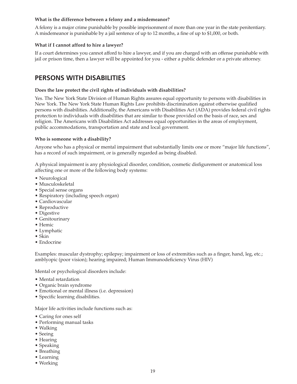### **What is the difference between a felony and a misdemeanor?**

A felony is a major crime punishable by possible imprisonment of more than one year in the state penitentiary. A misdemeanor is punishable by a jail sentence of up to 12 months, a fine of up to \$1,000, or both.

# **What if I cannot afford to hire a lawyer?**

If a court determines you cannot afford to hire a lawyer, and if you are charged with an offense punishable with jail or prison time, then a lawyer will be appointed for you - either a public defender or a private attorney.

# **PERSONS WITH DISABILITIES**

### **Does the law protect the civil rights of individuals with disabilities?**

Yes. The New York State Division of Human Rights assures equal opportunity to persons with disabilities in New York. The New York State Human Rights Law prohibits discrimination against otherwise qualified persons with disabilities. Additionally, the Americans with Disabilities Act (ADA) provides federal civil rights protection to individuals with disabilities that are similar to those provided on the basis of race, sex and religion. The Americans with Disabilities Act addresses equal opportunities in the areas of employment, public accommodations, transportation and state and local government.

### **Who is someone with a disability?**

Anyone who has a physical or mental impairment that substantially limits one or more "major life functions", has a record of such impairment, or is generally regarded as being disabled.

A physical impairment is any physiological disorder, condition, cosmetic disfigurement or anatomical loss affecting one or more of the following body systems:

- Neurological
- Musculoskeletal
- Special sense organs
- Respiratory (including speech organ)
- Cardiovascular
- Reproductive
- Digestive
- Genitourinary
- Hemic
- Lymphatic
- Skin
- Endocrine

Examples: muscular dystrophy; epilepsy; impairment or loss of extremities such as a finger, hand, leg, etc.; amblyopic (poor vision); hearing impaired; Human Immunodeficiency Virus (HIV)

Mental or psychological disorders include:

- Mental retardation
- Organic brain syndrome
- Emotional or mental illness (i.e. depression)
- Specific learning disabilities.

Major life activities include functions such as:

- Caring for ones self
- Performing manual tasks
- Walking
- Seeing
- Hearing
- Speaking
- Breathing
- Learning
- Working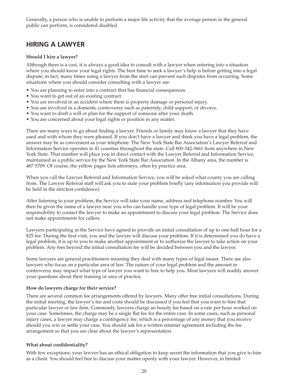Generally, a person who is unable to perform a major life activity that the average person in the general public can perform, is considered disabled.

# **HIRING A LAWYER**

### **Should I hire a lawyer?**

Although there is a cost, it is always a good idea to consult with a lawyer when entering into a situation where you should know your legal rights. The best time to seek a lawyer's help is before getting into a legal dispute; in fact, many times using a lawyer from the start can prevent such disputes from occurring. Some situations where you should consider consulting with a lawyer are:

- You are planning to enter into a contract that has financial consequences.
- You want to get out of an existing contract.
- You are involved in an accident where there is property damage or personal injury.
- You are involved in a domestic controversy such as paternity, child support, or divorce.
- You want to draft a will or plan for the support of someone after your death.
- You are concerned about your legal rights or position in any matter.

There are many ways to go about finding a lawyer. Friends or family may know a lawyer that they have used and with whom they were pleased. If you don't have a lawyer and think you have a legal problem, the answer may be as convenient as your telephone. The New York State Bar Association's Lawyer Referral and Information Service operates in 41 counties throughout the state. Call 800-342-3661 from anywhere in New York State. That number will place you in direct contact with the Lawyer Referral and Information Service, maintained as a public service by the New York State Bar Association. In the Albany area, the number is 487-5709. Of course, the yellow pages lists attorneys, often by practice area.

When you call the Lawyer Referral and Information Service, you will be asked what county you are calling from. The Lawyer Referral staff will ask you to state your problem briefly (any information you provide will be held in the strictest confidence).

After listening to your problem, the Service will take your name, address and telephone number. You will then be given the name of a lawyer near you who can handle your type of legal problem. It will be your responsibility to contact the lawyer to make an appointment to discuss your legal problem. The Service does not make appointments for callers.

Lawyers participating in the Service have agreed to provide an initial consultation of up to one-half hour for a \$25 fee. During the first visit, you and the lawyer will discuss your problem. If it is determined you do have a legal problem, it is up to you to make another appointment or to authorize the lawyer to take action on your problem. Any fees beyond the initial consultation fee will be decided between you and the lawyer.

Some lawyers are general practitioners meaning they deal with many types of legal issues. There are also lawyers who focus on a particular area of law. The nature of your legal problem and the amount in controversy may impact what type of lawyer you want to hire to help you. Most lawyers will readily answer your questions about their training or area of practice.

### **How do lawyers charge for their service?**

There are several common fee arrangements offered by lawyers. Many offer free initial consultations. During the initial meeting, the lawyer's fee and costs should be discussed if you feel that you want to hire that particular lawyer or law firm. Commonly, lawyers charge an hourly fee based on a rate per hour worked on your case. Sometimes, the charge may be a single flat fee for the entire case. In some cases, such as personal injury cases, a lawyer may charge a contingency fee, which is a percentage of any money that you receive should you win or settle your case. You should ask for a written retainer agreement including the fee arrangement so that you are clear about the lawyer's representation.

# **What about confidentiality?**

With few exceptions, your lawyer has an ethical obligation to keep secret the information that you give to him as a client. You should feel free to discuss your matter openly with your lawyer. However, in limited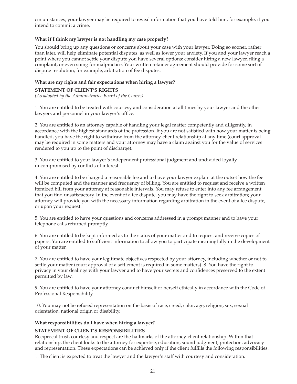circumstances, your lawyer may be required to reveal information that you have told him, for example, if you intend to commit a crime.

# **What if I think my lawyer is not handling my case properly?**

You should bring up any questions or concerns about your case with your lawyer. Doing so sooner, rather than later, will help eliminate potential disputes, as well as lower your anxiety. If you and your lawyer reach a point where you cannot settle your dispute you have several options: consider hiring a new lawyer, filing a complaint, or even suing for malpractice. Your written retainer agreement should provide for some sort of dispute resolution, for example, arbitration of fee disputes.

# **What are my rights and fair expectations when hiring a lawyer?**

**STATEMENT OF CLIENT'S RIGHTS** 

*(As adopted by the Administrative Board of the Courts)* 

1. You are entitled to be treated with courtesy and consideration at all times by your lawyer and the other lawyers and personnel in your lawyer's office.

2. You are entitled to an attorney capable of handling your legal matter competently and diligently, in accordance with the highest standards of the profession. If you are not satisfied with how your matter is being handled, you have the right to withdraw from the attorney-client relationship at any time (court approval may be required in some matters and your attorney may have a claim against you for the value of services rendered to you up to the point of discharge).

3. You are entitled to your lawyer's independent professional judgment and undivided loyalty uncompromised by conflicts of interest.

4. You are entitled to be charged a reasonable fee and to have your lawyer explain at the outset how the fee will be computed and the manner and frequency of billing. You are entitled to request and receive a written itemized bill from your attorney at reasonable intervals. You may refuse to enter into any fee arrangement that you find unsatisfactory. In the event of a fee dispute, you may have the right to seek arbitration; your attorney will provide you with the necessary information regarding arbitration in the event of a fee dispute, or upon your request.

5. You are entitled to have your questions and concerns addressed in a prompt manner and to have your telephone calls returned promptly.

6. You are entitled to be kept informed as to the status of your matter and to request and receive copies of papers. You are entitled to sufficient information to allow you to participate meaningfully in the development of your matter.

7. You are entitled to have your legitimate objectives respected by your attorney, including whether or not to settle your matter (court approval of a settlement is required in some matters). 8. You have the right to privacy in your dealings with your lawyer and to have your secrets and confidences preserved to the extent permitted by law.

9. You are entitled to have your attorney conduct himself or herself ethically in accordance with the Code of Professional Responsibility.

10. You may not be refused representation on the basis of race, creed, color, age, religion, sex, sexual orientation, national origin or disability.

# **What responsibilities do I have when hiring a lawyer?**

# **STATEMENT OF CLIENT'S RESPONSIBILITIES**

Reciprocal trust, courtesy and respect are the hallmarks of the attorney-client relationship. Within that relationship, the client looks to the attorney for expertise, education, sound judgment, protection, advocacy and representation. These expectations can be achieved only if the client fulfills the following responsibilities:

1. The client is expected to treat the lawyer and the lawyer's staff with courtesy and consideration.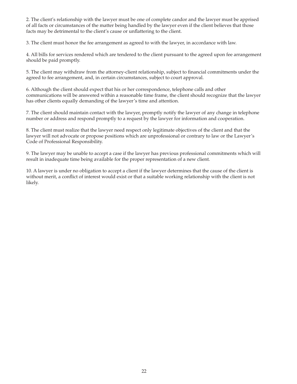2. The client's relationship with the lawyer must be one of complete candor and the lawyer must be apprised of all facts or circumstances of the matter being handled by the lawyer even if the client believes that those facts may be detrimental to the client's cause or unflattering to the client.

3. The client must honor the fee arrangement as agreed to with the lawyer, in accordance with law.

4. All bills for services rendered which are tendered to the client pursuant to the agreed upon fee arrangement should be paid promptly.

5. The client may withdraw from the attorney-client relationship, subject to financial commitments under the agreed to fee arrangement, and, in certain circumstances, subject to court approval.

6. Although the client should expect that his or her correspondence, telephone calls and other communications will be answered within a reasonable time frame, the client should recognize that the lawyer has other clients equally demanding of the lawyer's time and attention.

7. The client should maintain contact with the lawyer, promptly notify the lawyer of any change in telephone number or address and respond promptly to a request by the lawyer for information and cooperation.

8. The client must realize that the lawyer need respect only legitimate objectives of the client and that the lawyer will not advocate or propose positions which are unprofessional or contrary to law or the Lawyer's Code of Professional Responsibility.

9. The lawyer may be unable to accept a case if the lawyer has previous professional commitments which will result in inadequate time being available for the proper representation of a new client.

10. A lawyer is under no obligation to accept a client if the lawyer determines that the cause of the client is without merit, a conflict of interest would exist or that a suitable working relationship with the client is not likely.